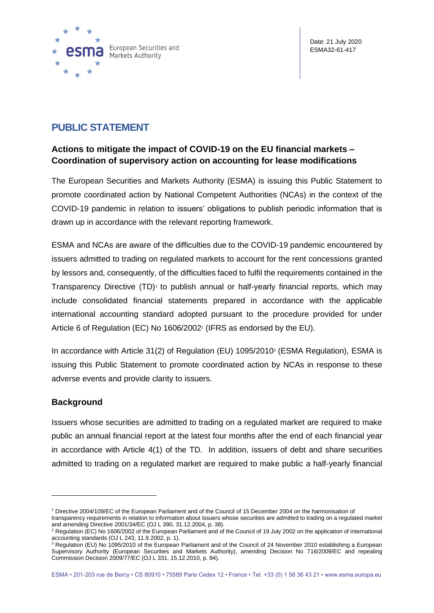

## **PUBLIC STATEMENT**

## **Actions to mitigate the impact of COVID-19 on the EU financial markets – Coordination of supervisory action on accounting for lease modifications**

The European Securities and Markets Authority (ESMA) is issuing this Public Statement to promote coordinated action by National Competent Authorities (NCAs) in the context of the COVID-19 pandemic in relation to issuers' obligations to publish periodic information that is drawn up in accordance with the relevant reporting framework.

ESMA and NCAs are aware of the difficulties due to the COVID-19 pandemic encountered by issuers admitted to trading on regulated markets to account for the rent concessions granted by lessors and, consequently, of the difficulties faced to fulfil the requirements contained in the Transparency Directive (TD)<sup>1</sup> to publish annual or half-yearly financial reports, which may include consolidated financial statements prepared in accordance with the applicable international accounting standard adopted pursuant to the procedure provided for under Article 6 of Regulation (EC) No 1606/2002<sup>2</sup> (IFRS as endorsed by the EU).

In accordance with Article 31(2) of Regulation (EU) 1095/2010<sup>3</sup> (ESMA Regulation), ESMA is issuing this Public Statement to promote coordinated action by NCAs in response to these adverse events and provide clarity to issuers.

## **Background**

Issuers whose securities are admitted to trading on a regulated market are required to make public an annual financial report at the latest four months after the end of each financial year in accordance with Article 4(1) of the TD. In addition, issuers of debt and share securities admitted to trading on a regulated market are required to make public a half-yearly financial

transparency requirements in relation to information about issuers whose securities are admitted to trading on a regulated market and amending Directive 2001/34/EC (OJ L 390, 31.12.2004, p. 38).

<sup>1</sup> Directive 2004/109/EC of the European Parliament and of the Council of 15 December 2004 on the harmonisation of

<sup>2</sup> Regulation (EC) No 1606/2002 of the European Parliament and of the Council of 19 July 2002 on the application of international accounting standards (OJ L 243, 11.9.2002, p. 1).

<sup>&</sup>lt;sup>3</sup> Regulation (EU) No 1095/2010 of the European Parliament and of the Council of 24 November 2010 establishing a European Supervisory Authority (European Securities and Markets Authority), amending Decision No 716/2009/EC and repealing Commission Decision 2009/77/EC (OJ L 331, 15.12.2010, p. 84).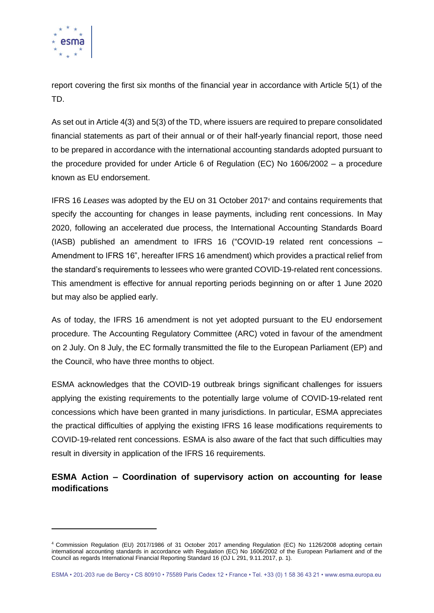

report covering the first six months of the financial year in accordance with Article 5(1) of the TD.

As set out in Article 4(3) and 5(3) of the TD, where issuers are required to prepare consolidated financial statements as part of their annual or of their half-yearly financial report, those need to be prepared in accordance with the international accounting standards adopted pursuant to the procedure provided for under Article 6 of Regulation (EC) No 1606/2002 – a procedure known as EU endorsement.

IFRS 16 *Leases* was adopted by the EU on 31 October 2017<sup>4</sup> and contains requirements that specify the accounting for changes in lease payments, including rent concessions. In May 2020, following an accelerated due process, the International Accounting Standards Board (IASB) published an amendment to IFRS 16 ("COVID-19 related rent concessions – Amendment to IFRS 16", hereafter IFRS 16 amendment) which provides a practical relief from the standard's requirements to lessees who were granted COVID-19-related rent concessions. This amendment is effective for annual reporting periods beginning on or after 1 June 2020 but may also be applied early.

As of today, the IFRS 16 amendment is not yet adopted pursuant to the EU endorsement procedure. The Accounting Regulatory Committee (ARC) voted in favour of the amendment on 2 July. On 8 July, the EC formally transmitted the file to the European Parliament (EP) and the Council, who have three months to object.

ESMA acknowledges that the COVID-19 outbreak brings significant challenges for issuers applying the existing requirements to the potentially large volume of COVID-19-related rent concessions which have been granted in many jurisdictions. In particular, ESMA appreciates the practical difficulties of applying the existing IFRS 16 lease modifications requirements to COVID-19-related rent concessions. ESMA is also aware of the fact that such difficulties may result in diversity in application of the IFRS 16 requirements.

## **ESMA Action – Coordination of supervisory action on accounting for lease modifications**

<sup>4</sup> Commission Regulation (EU) 2017/1986 of 31 October 2017 amending Regulation (EC) No 1126/2008 adopting certain international accounting standards in accordance with Regulation (EC) No 1606/2002 of the European Parliament and of the Council as regards International Financial Reporting Standard 16 (OJ L 291, 9.11.2017, p. 1).